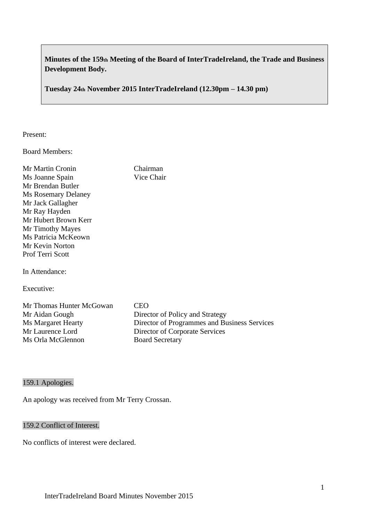# **Minutes of the 159th Meeting of the Board of InterTradeIreland, the Trade and Business Development Body.**

**Tuesday 24th November 2015 InterTradeIreland (12.30pm – 14.30 pm)**

Present:

Board Members:

| Mr Martin Cronin           | Chairman   |
|----------------------------|------------|
| Ms Joanne Spain            | Vice Chair |
| Mr Brendan Butler          |            |
| <b>Ms Rosemary Delaney</b> |            |
| Mr Jack Gallagher          |            |
| Mr Ray Hayden              |            |
| Mr Hubert Brown Kerr       |            |
| Mr Timothy Mayes           |            |
| Ms Patricia McKeown        |            |
| Mr Kevin Norton            |            |
| <b>Prof Terri Scott</b>    |            |
|                            |            |
|                            |            |

In Attendance:

Executive:

| Mr Thomas Hunter McGowan | <b>CEO</b>                                   |
|--------------------------|----------------------------------------------|
| Mr Aidan Gough           | Director of Policy and Strategy              |
| Ms Margaret Hearty       | Director of Programmes and Business Services |
| Mr Laurence Lord         | Director of Corporate Services               |
| Ms Orla McGlennon        | <b>Board Secretary</b>                       |

# 159.1 Apologies.

An apology was received from Mr Terry Crossan.

# 159.2 Conflict of Interest.

No conflicts of interest were declared.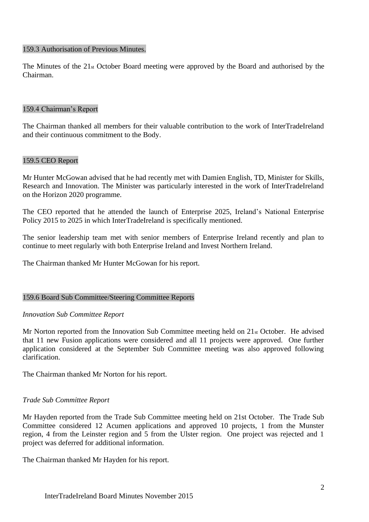#### 159.3 Authorisation of Previous Minutes.

The Minutes of the 21st October Board meeting were approved by the Board and authorised by the Chairman.

#### 159.4 Chairman's Report

The Chairman thanked all members for their valuable contribution to the work of InterTradeIreland and their continuous commitment to the Body.

#### 159.5 CEO Report

Mr Hunter McGowan advised that he had recently met with Damien English, TD, Minister for Skills, Research and Innovation. The Minister was particularly interested in the work of InterTradeIreland on the Horizon 2020 programme.

The CEO reported that he attended the launch of Enterprise 2025, Ireland's National Enterprise Policy 2015 to 2025 in which InterTradeIreland is specifically mentioned.

The senior leadership team met with senior members of Enterprise Ireland recently and plan to continue to meet regularly with both Enterprise Ireland and Invest Northern Ireland.

The Chairman thanked Mr Hunter McGowan for his report.

#### 159.6 Board Sub Committee/Steering Committee Reports

#### *Innovation Sub Committee Report*

Mr Norton reported from the Innovation Sub Committee meeting held on 21st October. He advised that 11 new Fusion applications were considered and all 11 projects were approved. One further application considered at the September Sub Committee meeting was also approved following clarification.

The Chairman thanked Mr Norton for his report.

#### *Trade Sub Committee Report*

Mr Hayden reported from the Trade Sub Committee meeting held on 21st October. The Trade Sub Committee considered 12 Acumen applications and approved 10 projects, 1 from the Munster region, 4 from the Leinster region and 5 from the Ulster region. One project was rejected and 1 project was deferred for additional information.

The Chairman thanked Mr Hayden for his report.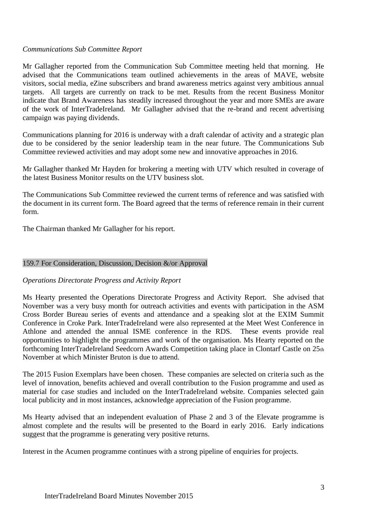# *Communications Sub Committee Report*

Mr Gallagher reported from the Communication Sub Committee meeting held that morning. He advised that the Communications team outlined achievements in the areas of MAVE, website visitors, social media, eZine subscribers and brand awareness metrics against very ambitious annual targets. All targets are currently on track to be met. Results from the recent Business Monitor indicate that Brand Awareness has steadily increased throughout the year and more SMEs are aware of the work of InterTradeIreland. Mr Gallagher advised that the re-brand and recent advertising campaign was paying dividends.

Communications planning for 2016 is underway with a draft calendar of activity and a strategic plan due to be considered by the senior leadership team in the near future. The Communications Sub Committee reviewed activities and may adopt some new and innovative approaches in 2016.

Mr Gallagher thanked Mr Hayden for brokering a meeting with UTV which resulted in coverage of the latest Business Monitor results on the UTV business slot.

The Communications Sub Committee reviewed the current terms of reference and was satisfied with the document in its current form. The Board agreed that the terms of reference remain in their current form.

The Chairman thanked Mr Gallagher for his report.

#### 159.7 For Consideration, Discussion, Decision &/or Approval

#### *Operations Directorate Progress and Activity Report*

Ms Hearty presented the Operations Directorate Progress and Activity Report. She advised that November was a very busy month for outreach activities and events with participation in the ASM Cross Border Bureau series of events and attendance and a speaking slot at the EXIM Summit Conference in Croke Park. InterTradeIreland were also represented at the Meet West Conference in Athlone and attended the annual ISME conference in the RDS. These events provide real opportunities to highlight the programmes and work of the organisation. Ms Hearty reported on the forthcoming InterTradeIreland Seedcorn Awards Competition taking place in Clontarf Castle on 25th November at which Minister Bruton is due to attend.

The 2015 Fusion Exemplars have been chosen. These companies are selected on criteria such as the level of innovation, benefits achieved and overall contribution to the Fusion programme and used as material for case studies and included on the InterTradeIreland website. Companies selected gain local publicity and in most instances, acknowledge appreciation of the Fusion programme.

Ms Hearty advised that an independent evaluation of Phase 2 and 3 of the Elevate programme is almost complete and the results will be presented to the Board in early 2016. Early indications suggest that the programme is generating very positive returns.

Interest in the Acumen programme continues with a strong pipeline of enquiries for projects.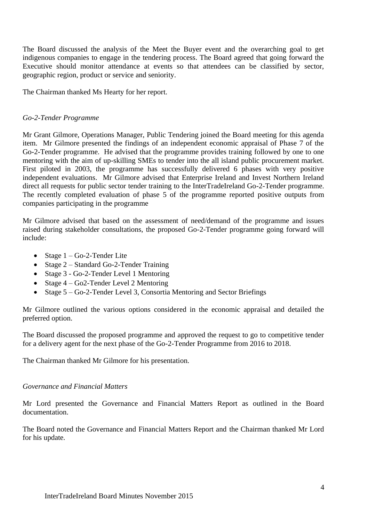The Board discussed the analysis of the Meet the Buyer event and the overarching goal to get indigenous companies to engage in the tendering process. The Board agreed that going forward the Executive should monitor attendance at events so that attendees can be classified by sector, geographic region, product or service and seniority.

The Chairman thanked Ms Hearty for her report.

### *Go-2-Tender Programme*

Mr Grant Gilmore, Operations Manager, Public Tendering joined the Board meeting for this agenda item. Mr Gilmore presented the findings of an independent economic appraisal of Phase 7 of the Go-2-Tender programme. He advised that the programme provides training followed by one to one mentoring with the aim of up-skilling SMEs to tender into the all island public procurement market. First piloted in 2003, the programme has successfully delivered 6 phases with very positive independent evaluations. Mr Gilmore advised that Enterprise Ireland and Invest Northern Ireland direct all requests for public sector tender training to the InterTradeIreland Go-2-Tender programme. The recently completed evaluation of phase 5 of the programme reported positive outputs from companies participating in the programme

Mr Gilmore advised that based on the assessment of need/demand of the programme and issues raised during stakeholder consultations, the proposed Go-2-Tender programme going forward will include:

- Stage  $1 Go-2$ -Tender Lite
- Stage 2 Standard Go-2-Tender Training
- Stage 3 Go-2-Tender Level 1 Mentoring
- Stage 4 Go2-Tender Level 2 Mentoring
- Stage  $5 Go-2$ -Tender Level 3, Consortia Mentoring and Sector Briefings

Mr Gilmore outlined the various options considered in the economic appraisal and detailed the preferred option.

The Board discussed the proposed programme and approved the request to go to competitive tender for a delivery agent for the next phase of the Go-2-Tender Programme from 2016 to 2018.

The Chairman thanked Mr Gilmore for his presentation.

#### *Governance and Financial Matters*

Mr Lord presented the Governance and Financial Matters Report as outlined in the Board documentation.

The Board noted the Governance and Financial Matters Report and the Chairman thanked Mr Lord for his update.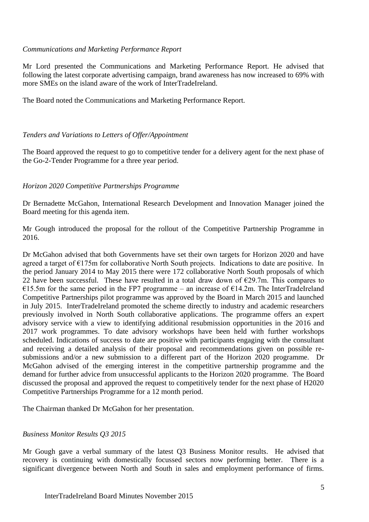# *Communications and Marketing Performance Report*

Mr Lord presented the Communications and Marketing Performance Report. He advised that following the latest corporate advertising campaign, brand awareness has now increased to 69% with more SMEs on the island aware of the work of InterTradeIreland.

The Board noted the Communications and Marketing Performance Report.

# *Tenders and Variations to Letters of Offer/Appointment*

The Board approved the request to go to competitive tender for a delivery agent for the next phase of the Go-2-Tender Programme for a three year period.

# *Horizon 2020 Competitive Partnerships Programme*

Dr Bernadette McGahon, International Research Development and Innovation Manager joined the Board meeting for this agenda item.

Mr Gough introduced the proposal for the rollout of the Competitive Partnership Programme in 2016.

Dr McGahon advised that both Governments have set their own targets for Horizon 2020 and have agreed a target of  $E175m$  for collaborative North South projects. Indications to date are positive. In the period January 2014 to May 2015 there were 172 collaborative North South proposals of which 22 have been successful. These have resulted in a total draw down of  $\epsilon$ 29.7m. This compares to €15.5m for the same period in the FP7 programme – an increase of  $€14.2m$ . The InterTradeIreland Competitive Partnerships pilot programme was approved by the Board in March 2015 and launched in July 2015. InterTradeIreland promoted the scheme directly to industry and academic researchers previously involved in North South collaborative applications. The programme offers an expert advisory service with a view to identifying additional resubmission opportunities in the 2016 and 2017 work programmes. To date advisory workshops have been held with further workshops scheduled. Indications of success to date are positive with participants engaging with the consultant and receiving a detailed analysis of their proposal and recommendations given on possible resubmissions and/or a new submission to a different part of the Horizon 2020 programme. Dr McGahon advised of the emerging interest in the competitive partnership programme and the demand for further advice from unsuccessful applicants to the Horizon 2020 programme. The Board discussed the proposal and approved the request to competitively tender for the next phase of H2020 Competitive Partnerships Programme for a 12 month period.

The Chairman thanked Dr McGahon for her presentation.

#### *Business Monitor Results Q3 2015*

Mr Gough gave a verbal summary of the latest Q3 Business Monitor results. He advised that recovery is continuing with domestically focussed sectors now performing better. There is a significant divergence between North and South in sales and employment performance of firms.